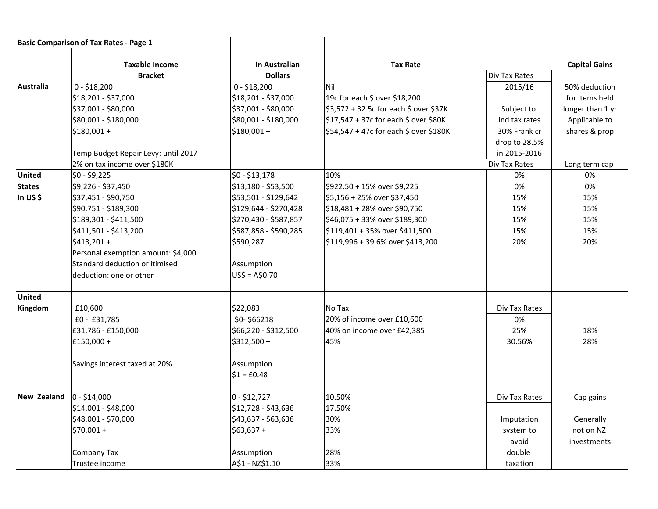|               | <b>Basic Comparison of Tax Rates - Page 1</b> |                                 |                                        |               |                      |
|---------------|-----------------------------------------------|---------------------------------|----------------------------------------|---------------|----------------------|
|               | <b>Taxable Income</b><br><b>Bracket</b>       | In Australian<br><b>Dollars</b> | <b>Tax Rate</b>                        | Div Tax Rates | <b>Capital Gains</b> |
| Australia     | $0 - $18,200$                                 | $0 - $18,200$                   | Nil                                    | 2015/16       | 50% deduction        |
|               | \$18,201 - \$37,000                           | \$18,201 - \$37,000             | 19c for each \$ over \$18,200          |               | for items held       |
|               | \$37,001 - \$80,000                           | \$37,001 - \$80,000             | \$3,572 + 32.5c for each \$ over \$37K | Subject to    | longer than 1 yr     |
|               | \$80,001 - \$180,000                          | \$80,001 - \$180,000            | \$17,547 + 37c for each \$ over \$80K  |               | Applicable to        |
|               |                                               |                                 | \$54,547 + 47c for each \$ over \$180K | ind tax rates |                      |
|               | $$180,001 +$                                  | $$180,001 +$                    |                                        | 30% Frank cr  | shares & prop        |
|               |                                               |                                 |                                        | drop to 28.5% |                      |
|               | Temp Budget Repair Levy: until 2017           |                                 |                                        | in 2015-2016  |                      |
| <b>United</b> | 2% on tax income over \$180K                  |                                 |                                        | Div Tax Rates | Long term cap        |
|               | $$0 - $9,225$                                 | $$0 - $13,178$                  | 10%                                    | 0%            | 0%                   |
| <b>States</b> | \$9,226 - \$37,450                            | \$13,180 - \$53,500             | \$922.50 + 15% over \$9,225            | 0%            | 0%                   |
| In US $$$     | \$37,451 - \$90,750                           | \$53,501 - \$129,642            | \$5,156 + 25% over \$37,450            | 15%           | 15%                  |
|               | \$90,751 - \$189,300                          | \$129,644 - \$270,428           | \$18,481 + 28% over \$90,750           | 15%           | 15%                  |
|               | \$189,301 - \$411,500                         | \$270,430 - \$587,857           | \$46,075 + 33% over \$189,300          | 15%           | 15%                  |
|               | \$411,501 - \$413,200                         | \$587,858 - \$590,285           | \$119,401 + 35% over \$411,500         | 15%           | 15%                  |
|               | $$413,201+$                                   | \$590,287                       | \$119,996 + 39.6% over \$413,200       | 20%           | 20%                  |
|               | Personal exemption amount: \$4,000            |                                 |                                        |               |                      |
|               | Standard deduction or itimised                | Assumption                      |                                        |               |                      |
|               | deduction: one or other                       | $US$ = A$0.70$                  |                                        |               |                      |
| <b>United</b> |                                               |                                 |                                        |               |                      |
| Kingdom       | £10,600                                       | \$22,083                        | No Tax                                 | Div Tax Rates |                      |
|               | $£0 - £31,785$                                | \$0-\$66218                     | 20% of income over £10,600             | 0%            |                      |
|               | £31,786 - £150,000                            | \$66,220 - \$312,500            | 40% on income over £42,385             | 25%           | 18%                  |
|               | £150,000 +                                    | \$312,500 +                     | 45%                                    | 30.56%        | 28%                  |
|               | Savings interest taxed at 20%                 | Assumption                      |                                        |               |                      |
|               |                                               | $$1 = £0.48$                    |                                        |               |                      |
| New Zealand   | $0 - $14,000$                                 | $0 - $12,727$                   | 10.50%                                 | Div Tax Rates | Cap gains            |
|               | \$14,001 - \$48,000                           | \$12,728 - \$43,636             | 17.50%                                 |               |                      |
|               | \$48,001 - \$70,000                           | \$43,637 - \$63,636             | 30%                                    | Imputation    | Generally            |
|               | $$70,001 +$                                   | $$63,637+$                      | 33%                                    | system to     | not on NZ            |
|               |                                               |                                 |                                        | avoid         | investments          |
|               | Company Tax                                   | Assumption                      | 28%                                    | double        |                      |
|               | Trustee income                                | A\$1 - NZ\$1.10                 | 33%                                    | taxation      |                      |